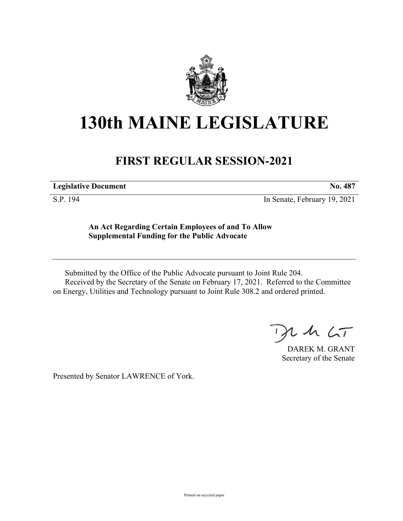

## **130th MAINE LEGISLATURE**

## **FIRST REGULAR SESSION-2021**

**Legislative Document No. 487**

S.P. 194 In Senate, February 19, 2021

**An Act Regarding Certain Employees of and To Allow Supplemental Funding for the Public Advocate**

Submitted by the Office of the Public Advocate pursuant to Joint Rule 204. Received by the Secretary of the Senate on February 17, 2021. Referred to the Committee on Energy, Utilities and Technology pursuant to Joint Rule 308.2 and ordered printed.

 $125$ 

DAREK M. GRANT Secretary of the Senate

Presented by Senator LAWRENCE of York.